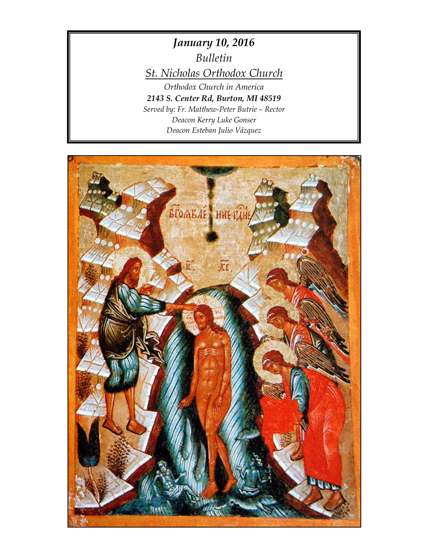*January 10, 2016 Bulletin St. Nicholas Orthodox Church Orthodox Church in America 2143 S. Center Rd, Burton, MI 48519 Served by: Fr. Matthew-Peter Butrie – Rector Deacon Kerry Luke Gonser*

*Deacon Esteban Julio Vázquez*

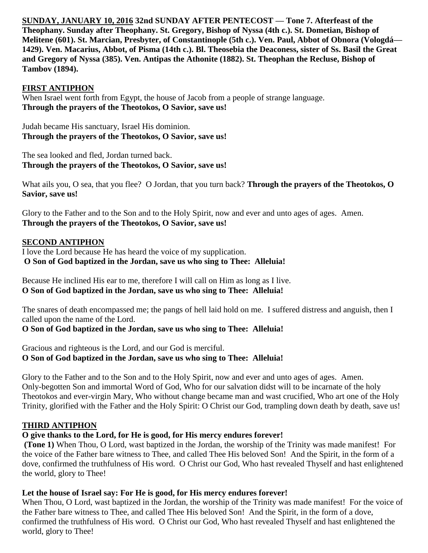**SUNDAY, JANUARY 10, 2016 32nd SUNDAY AFTER PENTECOST — Tone 7. Afterfeast of the Theophany. Sunday after Theophany. St. Gregory, Bishop of Nyssa (4th c.). St. Dometian, Bishop of Melitene (601). St. Marcian, Presbyter, of Constantinople (5th c.). Ven. Paul, Abbot of Obnora (Vologdá— 1429). Ven. Macarius, Abbot, of Pisma (14th c.). Bl. Theosebia the Deaconess, sister of Ss. Basil the Great and Gregory of Nyssa (385). Ven. Antipas the Athonite (1882). St. Theophan the Recluse, Bishop of Tambov (1894).** 

## **FIRST ANTIPHON**

When Israel went forth from Egypt, the house of Jacob from a people of strange language. **Through the prayers of the Theotokos, O Savior, save us!**

Judah became His sanctuary, Israel His dominion. **Through the prayers of the Theotokos, O Savior, save us!**

The sea looked and fled, Jordan turned back. **Through the prayers of the Theotokos, O Savior, save us!**

What ails you, O sea, that you flee? O Jordan, that you turn back? **Through the prayers of the Theotokos, O Savior, save us!**

Glory to the Father and to the Son and to the Holy Spirit, now and ever and unto ages of ages. Amen. **Through the prayers of the Theotokos, O Savior, save us!**

#### **SECOND ANTIPHON**

I love the Lord because He has heard the voice of my supplication. **O Son of God baptized in the Jordan, save us who sing to Thee: Alleluia!**

Because He inclined His ear to me, therefore I will call on Him as long as I live. **O Son of God baptized in the Jordan, save us who sing to Thee: Alleluia!**

The snares of death encompassed me; the pangs of hell laid hold on me. I suffered distress and anguish, then I called upon the name of the Lord.

## **O Son of God baptized in the Jordan, save us who sing to Thee: Alleluia!**

Gracious and righteous is the Lord, and our God is merciful. **O Son of God baptized in the Jordan, save us who sing to Thee: Alleluia!**

Glory to the Father and to the Son and to the Holy Spirit, now and ever and unto ages of ages. Amen. Only-begotten Son and immortal Word of God, Who for our salvation didst will to be incarnate of the holy Theotokos and ever-virgin Mary, Who without change became man and wast crucified, Who art one of the Holy Trinity, glorified with the Father and the Holy Spirit: O Christ our God, trampling down death by death, save us!

## **THIRD ANTIPHON**

## **O give thanks to the Lord, for He is good, for His mercy endures forever!**

**(Tone 1)** When Thou, O Lord, wast baptized in the Jordan, the worship of the Trinity was made manifest! For the voice of the Father bare witness to Thee, and called Thee His beloved Son! And the Spirit, in the form of a dove, confirmed the truthfulness of His word. O Christ our God, Who hast revealed Thyself and hast enlightened the world, glory to Thee!

#### **Let the house of Israel say: For He is good, for His mercy endures forever!**

When Thou, O Lord, wast baptized in the Jordan, the worship of the Trinity was made manifest! For the voice of the Father bare witness to Thee, and called Thee His beloved Son! And the Spirit, in the form of a dove, confirmed the truthfulness of His word. O Christ our God, Who hast revealed Thyself and hast enlightened the world, glory to Thee!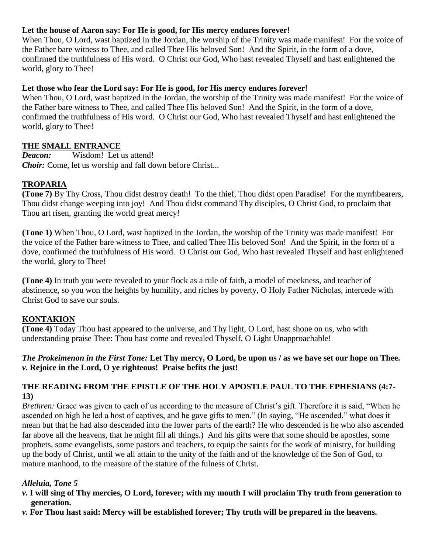# **Let the house of Aaron say: For He is good, for His mercy endures forever!**

When Thou, O Lord, wast baptized in the Jordan, the worship of the Trinity was made manifest! For the voice of the Father bare witness to Thee, and called Thee His beloved Son! And the Spirit, in the form of a dove, confirmed the truthfulness of His word. O Christ our God, Who hast revealed Thyself and hast enlightened the world, glory to Thee!

# **Let those who fear the Lord say: For He is good, for His mercy endures forever!**

When Thou, O Lord, wast baptized in the Jordan, the worship of the Trinity was made manifest! For the voice of the Father bare witness to Thee, and called Thee His beloved Son! And the Spirit, in the form of a dove, confirmed the truthfulness of His word. O Christ our God, Who hast revealed Thyself and hast enlightened the world, glory to Thee!

# **THE SMALL ENTRANCE**

*Deacon:* Wisdom! Let us attend! *Choir:* Come, let us worship and fall down before Christ...

# **TROPARIA**

**(Tone 7)** By Thy Cross, Thou didst destroy death! To the thief, Thou didst open Paradise! For the myrrhbearers, Thou didst change weeping into joy! And Thou didst command Thy disciples, O Christ God, to proclaim that Thou art risen, granting the world great mercy!

**(Tone 1)** When Thou, O Lord, wast baptized in the Jordan, the worship of the Trinity was made manifest! For the voice of the Father bare witness to Thee, and called Thee His beloved Son! And the Spirit, in the form of a dove, confirmed the truthfulness of His word. O Christ our God, Who hast revealed Thyself and hast enlightened the world, glory to Thee!

**(Tone 4)** In truth you were revealed to your flock as a rule of faith, a model of meekness, and teacher of abstinence, so you won the heights by humility, and riches by poverty, O Holy Father Nicholas, intercede with Christ God to save our souls.

# **KONTAKION**

**(Tone 4)** Today Thou hast appeared to the universe, and Thy light, O Lord, hast shone on us, who with understanding praise Thee: Thou hast come and revealed Thyself, O Light Unapproachable!

## *The Prokeimenon in the First Tone:* **Let Thy mercy, O Lord, be upon us / as we have set our hope on Thee.** *v.* **Rejoice in the Lord, O ye righteous! Praise befits the just!**

## **THE READING FROM THE EPISTLE OF THE HOLY APOSTLE PAUL TO THE EPHESIANS (4:7- 13)**

*Brethren:* Grace was given to each of us according to the measure of Christ's gift. Therefore it is said, "When he ascended on high he led a host of captives, and he gave gifts to men." (In saying, "He ascended," what does it mean but that he had also descended into the lower parts of the earth? He who descended is he who also ascended far above all the heavens, that he might fill all things.) And his gifts were that some should be apostles, some prophets, some evangelists, some pastors and teachers, to equip the saints for the work of ministry, for building up the body of Christ, until we all attain to the unity of the faith and of the knowledge of the Son of God, to mature manhood, to the measure of the stature of the fulness of Christ.

## *Alleluia, Tone 5*

- *v.* **I will sing of Thy mercies, O Lord, forever; with my mouth I will proclaim Thy truth from generation to generation.**
- *v.* **For Thou hast said: Mercy will be established forever; Thy truth will be prepared in the heavens.**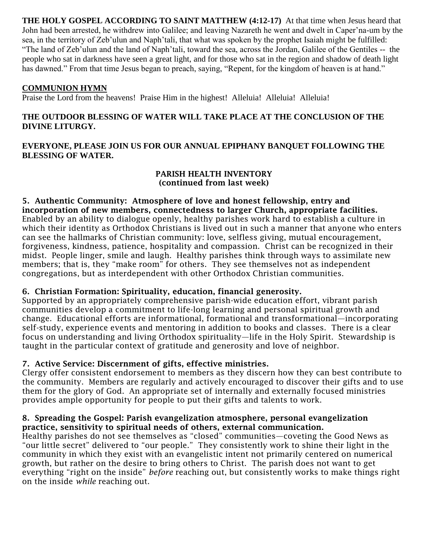**THE HOLY GOSPEL ACCORDING TO SAINT MATTHEW (4:12-17)** At that time when Jesus heard that John had been arrested, he withdrew into Galilee; and leaving Nazareth he went and dwelt in Caper'na-um by the sea, in the territory of Zeb'ulun and Naph'tali, that what was spoken by the prophet Isaiah might be fulfilled: "The land of Zeb'ulun and the land of Naph'tali, toward the sea, across the Jordan, Galilee of the Gentiles -- the people who sat in darkness have seen a great light, and for those who sat in the region and shadow of death light has dawned." From that time Jesus began to preach, saying, "Repent, for the kingdom of heaven is at hand."

## **COMMUNION HYMN**

Praise the Lord from the heavens! Praise Him in the highest! Alleluia! Alleluia! Alleluia!

## **THE OUTDOOR BLESSING OF WATER WILL TAKE PLACE AT THE CONCLUSION OF THE DIVINE LITURGY.**

#### **EVERYONE, PLEASE JOIN US FOR OUR ANNUAL EPIPHANY BANQUET FOLLOWING THE BLESSING OF WATER.**

#### **PARISH HEALTH INVENTORY (continued from last week)**

**5. Authentic Community: Atmosphere of love and honest fellowship, entry and incorporation of new members, connectedness to larger Church, appropriate facilities.** Enabled by an ability to dialogue openly, healthy parishes work hard to establish a culture in which their identity as Orthodox Christians is lived out in such a manner that anyone who enters can see the hallmarks of Christian community: love, selfless giving, mutual encouragement, forgiveness, kindness, patience, hospitality and compassion. Christ can be recognized in their midst. People linger, smile and laugh. Healthy parishes think through ways to assimilate new members; that is, they "make room" for others. They see themselves not as independent congregations, but as interdependent with other Orthodox Christian communities.

## **6. Christian Formation: Spirituality, education, financial generosity.**

Supported by an appropriately comprehensive parish-wide education effort, vibrant parish communities develop a commitment to life-long learning and personal spiritual growth and change. Educational efforts are informational, formational and transformational—incorporating self-study, experience events and mentoring in addition to books and classes. There is a clear focus on understanding and living Orthodox spirituality—life in the Holy Spirit. Stewardship is taught in the particular context of gratitude and generosity and love of neighbor.

## **7. Active Service: Discernment of gifts, effective ministries.**

Clergy offer consistent endorsement to members as they discern how they can best contribute to the community. Members are regularly and actively encouraged to discover their gifts and to use them for the glory of God. An appropriate set of internally and externally focused ministries provides ample opportunity for people to put their gifts and talents to work.

#### **8. Spreading the Gospel: Parish evangelization atmosphere, personal evangelization practice, sensitivity to spiritual needs of others, external communication.**

Healthy parishes do not see themselves as "closed" communities—coveting the Good News as "our little secret" delivered to "our people." They consistently work to shine their light in the community in which they exist with an evangelistic intent not primarily centered on numerical growth, but rather on the desire to bring others to Christ. The parish does not want to get everything "right on the inside" *before* reaching out, but consistently works to make things right on the inside *while* reaching out.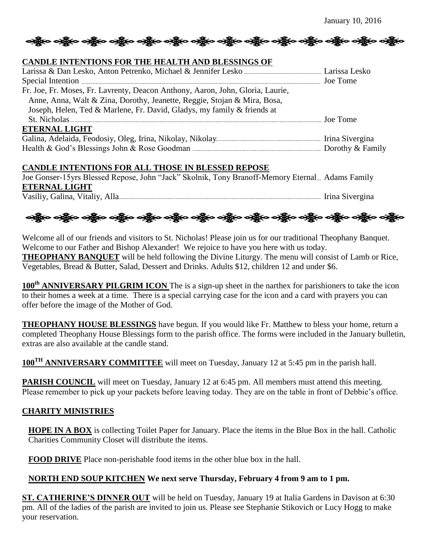# တန္ကြီးစ တန္ကြီးစ တန္ကြီးစ တန္ကြီးစ တန္ကြီးစ တန္ကြီးစ တန္ကြီးစ တန္ကြီးစ တန္ကြီးစ တန္ကြီးစ

#### **CANDLE INTENTIONS FOR THE HEALTH AND BLESSINGS OF**

| Fr. Joe, Fr. Moses, Fr. Lavrenty, Deacon Anthony, Aaron, John, Gloria, Laurie, |  |
|--------------------------------------------------------------------------------|--|
| Anne, Anna, Walt & Zina, Dorothy, Jeanette, Reggie, Stojan & Mira, Bosa,       |  |
| Joseph, Helen, Ted & Marlene, Fr. David, Gladys, my family & friends at        |  |
|                                                                                |  |
| <b>ETERNAL LIGHT</b>                                                           |  |
|                                                                                |  |
|                                                                                |  |

#### **CANDLE INTENTIONS FOR ALL THOSE IN BLESSED REPOSE**

Joe Gonser-15yrs Blessed Repose, John "Jack" Skolnik, Tony Branoff-Memory Eternal... Adams Family **ETERNAL LIGHT** Vasiliy, Galina, Vitaliy, Alla Irina Sivergina

ခရွိက ခရွိက ခရွိက ခရွိက အိုင်း အိုင်း ခရွိက ခရွိက ခရွိက ခရွိက ခရွိက ခရွိက ခရွိက ခရွိက ခရွိက ခရွိက

Welcome all of our friends and visitors to St. Nicholas! Please join us for our traditional Theophany Banquet. Welcome to our Father and Bishop Alexander! We rejoice to have you here with us today. **THEOPHANY BANQUET** will be held following the Divine Liturgy. The menu will consist of Lamb or Rice, Vegetables, Bread & Butter, Salad, Dessert and Drinks. Adults \$12, children 12 and under \$6.

**100th ANNIVERSARY PILGRIM ICON** The is a sign-up sheet in the narthex for parishioners to take the icon to their homes a week at a time. There is a special carrying case for the icon and a card with prayers you can offer before the image of the Mother of God.

**THEOPHANY HOUSE BLESSINGS** have begun. If you would like Fr. Matthew to bless your home, return a completed Theophany House Blessings form to the parish office. The forms were included in the January bulletin, extras are also available at the candle stand.

**100TH ANNIVERSARY COMMITTEE** will meet on Tuesday, January 12 at 5:45 pm in the parish hall.

**PARISH COUNCIL** will meet on Tuesday, January 12 at 6:45 pm. All members must attend this meeting. Please remember to pick up your packets before leaving today. They are on the table in front of Debbie's office.

## **CHARITY MINISTRIES**

**HOPE IN A BOX** is collecting Toilet Paper for January. Place the items in the Blue Box in the hall. Catholic Charities Community Closet will distribute the items.

**FOOD DRIVE** Place non-perishable food items in the other blue box in the hall.

## **NORTH END SOUP KITCHEN We next serve Thursday, February 4 from 9 am to 1 pm.**

**ST. CATHERINE'S DINNER OUT** will be held on Tuesday, January 19 at Italia Gardens in Davison at 6:30 pm. All of the ladies of the parish are invited to join us. Please see Stephanie Stikovich or Lucy Hogg to make your reservation.